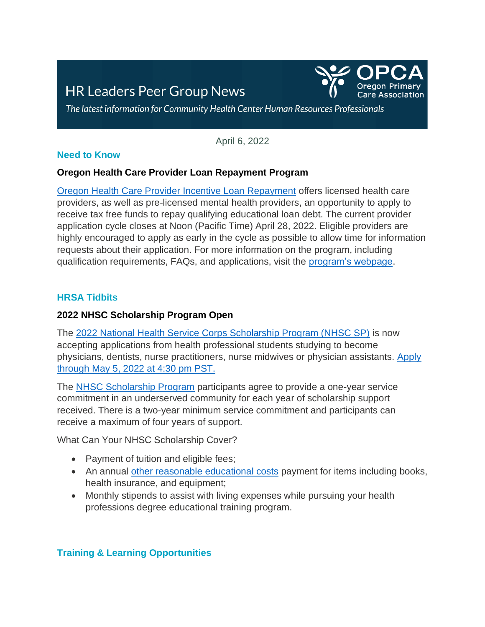# **HR Leaders Peer Group News**



The latest information for Community Health Center Human Resources Professionals

April 6, 2022

### **Need to Know**

#### **Oregon Health Care Provider Loan Repayment Program**

[Oregon Health Care Provider Incentive Loan Repayment](https://ohsu.us1.list-manage.com/track/click?u=1de579fe12637bcc2c31de886&id=edd61f2090&e=db6024fdca) offers licensed health care providers, as well as pre-licensed mental health providers, an opportunity to apply to receive tax free funds to repay qualifying educational loan debt. The current provider application cycle closes at Noon (Pacific Time) April 28, 2022. Eligible providers are highly encouraged to apply as early in the cycle as possible to allow time for information requests about their application. For more information on the program, including qualification requirements, FAQs, and applications, visit the [program's webpage.](https://ohsu.us1.list-manage.com/track/click?u=1de579fe12637bcc2c31de886&id=ca35a90ce4&e=db6024fdca)

## **HRSA Tidbits**

### **2022 NHSC Scholarship Program Open**

The [2022 National Health Service Corps Scholarship Program \(NHSC SP\)](https://lnks.gd/l/eyJhbGciOiJIUzI1NiJ9.eyJidWxsZXRpbl9saW5rX2lkIjoxMDUsInVyaSI6ImJwMjpjbGljayIsImJ1bGxldGluX2lkIjoiMjAyMjAzMTUuNTQ5NDczNTEiLCJ1cmwiOiJodHRwczovL25oc2MuaHJzYS5nb3Yvc2Nob2xhcnNoaXBzL2hvdy10by1hcHBseS5odG1sP3V0bV9jYW1wYWlnbj1Ob3crT3BlbiUyMSsyMDIyK05IU0MrU2Nob2xhcnNoaXArUHJvZ3JhbSZ1dG1fbWVkaXVtPUVtYWlsJnV0bV9zb3VyY2U9Z292ZGVsaXZlcnkifQ.dth8Cxg3AJr_8suLqLjk6UoC8YggtpMEi-U1CaRLCF0/s/1433784775/br/128137326470-l) is now accepting applications from health professional students studying to become physicians, dentists, nurse practitioners, nurse midwives or physician assistants. [Apply](https://lnks.gd/l/eyJhbGciOiJIUzI1NiJ9.eyJidWxsZXRpbl9saW5rX2lkIjoxMDQsInVyaSI6ImJwMjpjbGljayIsImJ1bGxldGluX2lkIjoiMjAyMjAzMTUuNTQ5NDczNTEiLCJ1cmwiOiJodHRwczovL3Byb2dyYW1wb3J0YWwuaHJzYS5nb3YvZXh0cmFuZXQvbGFuZGluZy5zZWFtP3V0bV9jYW1wYWlnbj1Ob3crT3BlbiUyMSsyMDIyK05IU0MrU2Nob2xhcnNoaXArUHJvZ3JhbSZ1dG1fbWVkaXVtPUVtYWlsJnV0bV9zb3VyY2U9Z292ZGVsaXZlcnkifQ.nL5gtr69Pc2DxhYk0cHAYXXCGYs04qUQHyHrBFZlMkA/s/1433784775/br/128137326470-l)  [through May 5, 2022 at 4:30 pm PST.](https://lnks.gd/l/eyJhbGciOiJIUzI1NiJ9.eyJidWxsZXRpbl9saW5rX2lkIjoxMDQsInVyaSI6ImJwMjpjbGljayIsImJ1bGxldGluX2lkIjoiMjAyMjAzMTUuNTQ5NDczNTEiLCJ1cmwiOiJodHRwczovL3Byb2dyYW1wb3J0YWwuaHJzYS5nb3YvZXh0cmFuZXQvbGFuZGluZy5zZWFtP3V0bV9jYW1wYWlnbj1Ob3crT3BlbiUyMSsyMDIyK05IU0MrU2Nob2xhcnNoaXArUHJvZ3JhbSZ1dG1fbWVkaXVtPUVtYWlsJnV0bV9zb3VyY2U9Z292ZGVsaXZlcnkifQ.nL5gtr69Pc2DxhYk0cHAYXXCGYs04qUQHyHrBFZlMkA/s/1433784775/br/128137326470-l) 

The [NHSC Scholarship Program](https://lnks.gd/l/eyJhbGciOiJIUzI1NiJ9.eyJidWxsZXRpbl9saW5rX2lkIjoxMDYsInVyaSI6ImJwMjpjbGljayIsImJ1bGxldGluX2lkIjoiMjAyMjAzMTUuNTQ5NDczNTEiLCJ1cmwiOiJodHRwczovL2xua3MuZ2QvbC9leUpoYkdjaU9pSklVekkxTmlKOS5leUppZFd4c1pYUnBibDlzYVc1clgybGtJam94TURVc0luVnlhU0k2SW1Kd01qcGpiR2xqYXlJc0ltSjFiR3hsZEdsdVgybGtJam9pTWpBeU1qQXpNRGt1TlRRMk5UTTJPVEVpTENKMWNtd2lPaUpvZEhSd2N6b3ZMMjVvYzJNdWFISnpZUzVuYjNZdmMyTm9iMnhoY25Ob2FYQnpMMmh2ZHkxMGJ5MWhjSEJzZVM1b2RHMXNQM1YwYlY5allXMXdZV2xuYmoxVVlXdGxLMEVyUW05c1pDdFRkR1Z3SzJsdUsxbHZkWElyVFdWa2FXTmhiQ3RUWTJodmIyd3JTbTkxY201bGVTVXpRU3N5TURJeUswNUlVME1yVTJOb2Iyd21kWFJ0WDIxbFpHbDFiVDFGYldGcGJDWjFkRzFmYzI5MWNtTmxQV2R2ZG1SbGJHbDJaWEo1SW4wLnM1TmV2ZmhoZjNnODYteFI1RHdQbFZQNkJ0azdmNG5xcXVfUXppNjBUV0Evcy8xMTExMDQ2NjA2L2JyLzEyNzgyMTAxMTQxMC1sP3V0bV9jYW1wYWlnbj1Ob3crT3BlbiUyMSsyMDIyK05IU0MrU2Nob2xhcnNoaXArUHJvZ3JhbSZ1dG1fbWVkaXVtPUVtYWlsJnV0bV9zb3VyY2U9Z292ZGVsaXZlcnkifQ.-MT0uM3E7zKuKQJLgsLQzTpLG1LwUpWzwK8Xr72LNiU/s/1433784775/br/128137326470-l) participants agree to provide a one-year service commitment in an underserved community for each year of scholarship support received. There is a two-year minimum service commitment and participants can receive a maximum of four years of support.

What Can Your NHSC Scholarship Cover?

- Payment of tuition and eligible fees;
- An annual [other reasonable educational costs](https://lnks.gd/l/eyJhbGciOiJIUzI1NiJ9.eyJidWxsZXRpbl9saW5rX2lkIjoxMDYsInVyaSI6ImJwMjpjbGljayIsImJ1bGxldGluX2lkIjoiMjAyMjAzMDkuNTQ2NTM2OTEiLCJ1cmwiOiJodHRwczovL25oc2MuaHJzYS5nb3Yvc2l0ZXMvZGVmYXVsdC9maWxlcy9uaHNjL3NjaG9sYXJzaGlwcy9vdGhlci1yZWFzb25hYmxlLWNvc3RzLnBkZj91dG1fY2FtcGFpZ249VGFrZStBK0JvbGQrU3RlcCtpbitZb3VyK01lZGljYWwrU2Nob29sK0pvdXJuZXklM0ErMjAyMitOSFNDK1NjaG9sJnV0bV9tZWRpdW09RW1haWwmdXRtX3NvdXJjZT1nb3ZkZWxpdmVyeSJ9.umQyOIeU7Sd0LNGX-bhpilSQ4TwhuFUmpT_5LpQqBTk/s/1111046606/br/127821011410-l?utm_campaign=Now+Open%21+2022+NHSC+Scholarship+Program&utm_medium=Email&utm_source=govdelivery) payment for items including books, health insurance, and equipment;
- Monthly stipends to assist with living expenses while pursuing your health professions degree educational training program.

## **Training & Learning Opportunities**